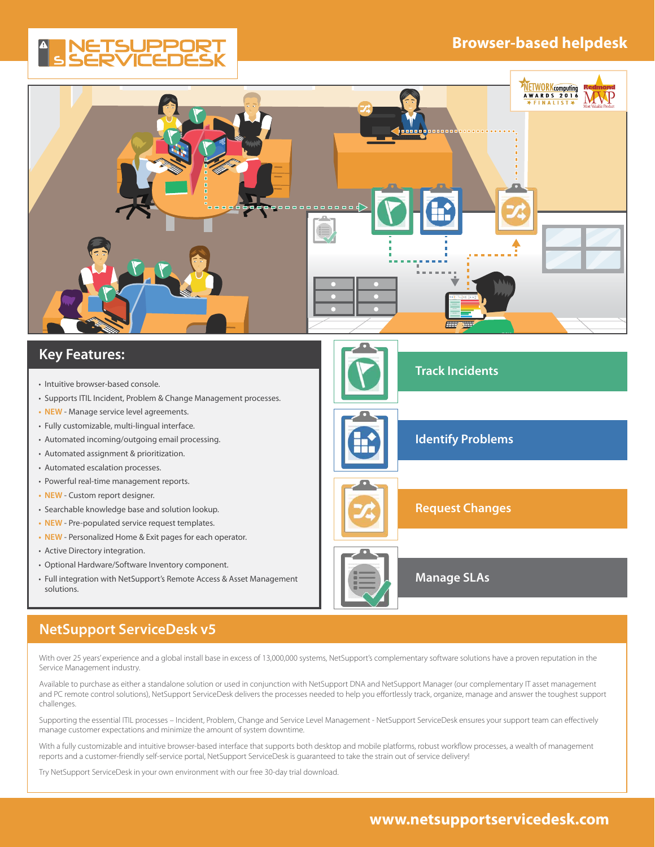# **Browser-based helpdesk**

# ETSUPPO



# **Key Features:**

- Intuitive browser-based console.
- Supports ITIL Incident, Problem & Change Management processes.
- **• NEW** Manage service level agreements.
- • Fully customizable, multi-lingual interface.
- • Automated incoming/outgoing email processing.
- • Automated assignment & prioritization.
- Automated escalation processes.
- • Powerful real-time management reports.
- **• NEW** Custom report designer.
- • Searchable knowledge base and solution lookup.
- **• NEW** Pre-populated service request templates.
- **• NEW** Personalized Home & Exit pages for each operator.
- Active Directory integration.
- • Optional Hardware/Software Inventory component.
- Full integration with NetSupport's Remote Access & Asset Management solutions.



# **NetSupport ServiceDesk v5**

With over 25 years' experience and a global install base in excess of 13,000,000 systems, NetSupport's complementary software solutions have a proven reputation in the Service Management industry.

Available to purchase as either a standalone solution or used in conjunction with NetSupport DNA and NetSupport Manager (our complementary IT asset management and PC remote control solutions), NetSupport ServiceDesk delivers the processes needed to help you effortlessly track, organize, manage and answer the toughest support challenges.

Supporting the essential ITIL processes – Incident, Problem, Change and Service Level Management - NetSupport ServiceDesk ensures your support team can effectively manage customer expectations and minimize the amount of system downtime.

With a fully customizable and intuitive browser-based interface that supports both desktop and mobile platforms, robust workflow processes, a wealth of management reports and a customer-friendly self-service portal, NetSupport ServiceDesk is guaranteed to take the strain out of service delivery!

Try NetSupport ServiceDesk in your own environment with our free 30-day trial download.